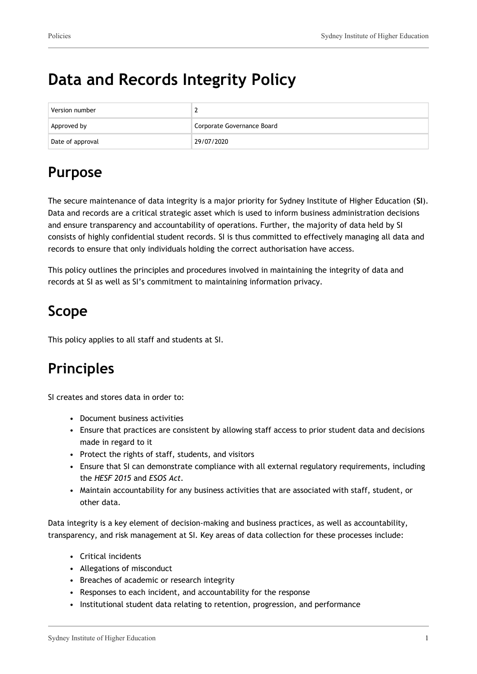# **Data and Records Integrity Policy**

| Version number   |                            |
|------------------|----------------------------|
| Approved by      | Corporate Governance Board |
| Date of approval | 29/07/2020                 |

# **Purpose**

The secure maintenance of data integrity is a major priority for Sydney Institute of Higher Education (**SI**). Data and records are a critical strategic asset which is used to inform business administration decisions and ensure transparency and accountability of operations. Further, the majority of data held by SI consists of highly confidential student records. SI is thus committed to effectively managing all data and records to ensure that only individuals holding the correct authorisation have access.

This policy outlines the principles and procedures involved in maintaining the integrity of data and records at SI as well as SI's commitment to maintaining information privacy.

## **Scope**

This policy applies to all staff and students at SI.

# **Principles**

SI creates and stores data in order to:

- Document business activities
- Ensure that practices are consistent by allowing staff access to prior student data and decisions made in regard to it
- Protect the rights of staff, students, and visitors
- Ensure that SI can demonstrate compliance with all external regulatory requirements, including the *HESF 2015* and *ESOS Act.*
- Maintain accountability for any business activities that are associated with staff, student, or other data.

Data integrity is a key element of decision-making and business practices, as well as accountability, transparency, and risk management at SI. Key areas of data collection for these processes include:

- Critical incidents
- Allegations of misconduct
- Breaches of academic or research integrity
- Responses to each incident, and accountability for the response
- Institutional student data relating to retention, progression, and performance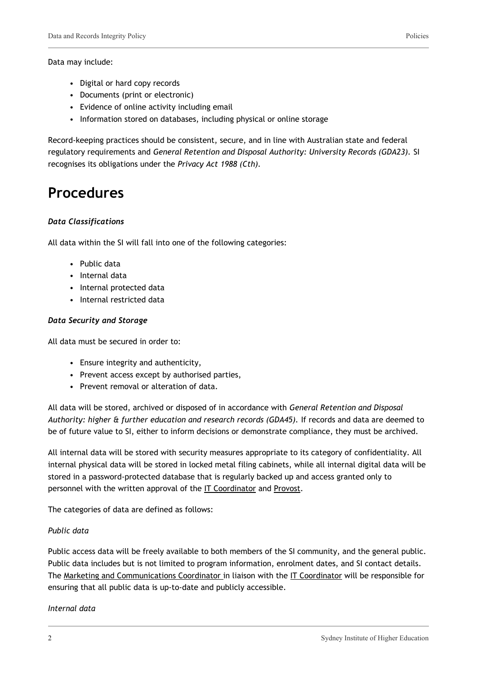- Digital or hard copy records
- Documents (print or electronic)
- Evidence of online activity including email
- Information stored on databases, including physical or online storage

Record-keeping practices should be consistent, secure, and in line with Australian state and federal regulatory requirements and *General Retention and Disposal Authority: University Records (GDA23).* SI recognises its obligations under the *Privacy Act 1988 (Cth).*

## **Procedures**

#### *Data Classifications*

All data within the SI will fall into one of the following categories:

- Public data
- Internal data
- Internal protected data
- Internal restricted data

#### *Data Security and Storage*

All data must be secured in order to:

- Ensure integrity and authenticity,
- Prevent access except by authorised parties,
- Prevent removal or alteration of data.

All data will be stored, archived or disposed of in accordance with *General Retention and Disposal Authority: higher & further education and research records (GDA45).* If records and data are deemed to be of future value to SI, either to inform decisions or demonstrate compliance, they must be archived.

All internal data will be stored with security measures appropriate to its category of confidentiality. All internal physical data will be stored in locked metal filing cabinets, while all internal digital data will be stored in a password-protected database that is regularly backed up and access granted only to personnel with the written approval of the IT Coordinator and Provost.

The categories of data are defined as follows:

#### *Public data*

Public access data will be freely available to both members of the SI community, and the general public. Public data includes but is not limited to program information, enrolment dates, and SI contact details. The Marketing and Communications Coordinator in liaison with the IT Coordinator will be responsible for ensuring that all public data is up-to-date and publicly accessible.

#### *Internal data*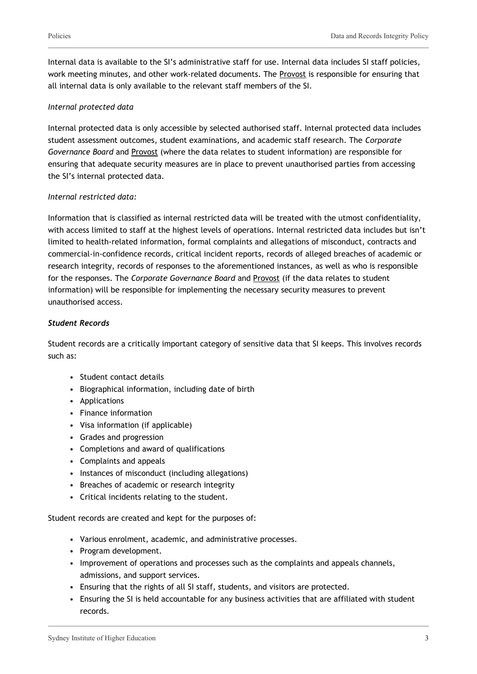Internal data is available to the SI's administrative staff for use. Internal data includes SI staff policies, work meeting minutes, and other work-related documents. The Provost is responsible for ensuring that all internal data is only available to the relevant staff members of the SI.

#### *Internal protected data*

Internal protected data is only accessible by selected authorised staff. Internal protected data includes student assessment outcomes, student examinations, and academic staff research. The *Corporate Governance Board* and Provost (where the data relates to student information) are responsible for ensuring that adequate security measures are in place to prevent unauthorised parties from accessing the SI's internal protected data.

#### *Internal restricted data:*

Information that is classified as internal restricted data will be treated with the utmost confidentiality, with access limited to staff at the highest levels of operations. Internal restricted data includes but isn't limited to health-related information, formal complaints and allegations of misconduct, contracts and commercial-in-confidence records, critical incident reports, records of alleged breaches of academic or research integrity, records of responses to the aforementioned instances, as well as who is responsible for the responses. The *Corporate Governance Board* and Provost (if the data relates to student information) will be responsible for implementing the necessary security measures to prevent unauthorised access.

#### *Student Records*

Student records are a critically important category of sensitive data that SI keeps. This involves records such as:

- Student contact details
- Biographical information, including date of birth
- Applications
- Finance information
- Visa information (if applicable)
- Grades and progression
- Completions and award of qualifications
- Complaints and appeals
- Instances of misconduct (including allegations)
- Breaches of academic or research integrity
- Critical incidents relating to the student.

Student records are created and kept for the purposes of:

- Various enrolment, academic, and administrative processes.
- Program development.
- Improvement of operations and processes such as the complaints and appeals channels, admissions, and support services.
- Ensuring that the rights of all SI staff, students, and visitors are protected.
- Ensuring the SI is held accountable for any business activities that are affiliated with student records.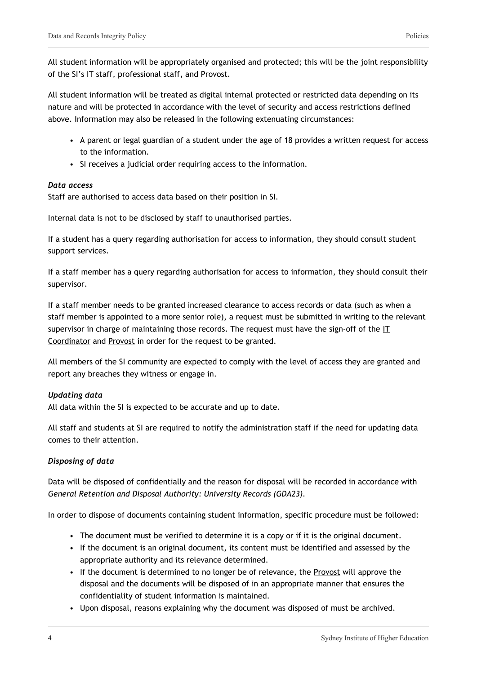All student information will be appropriately organised and protected; this will be the joint responsibility of the SI's IT staff, professional staff, and Provost.

All student information will be treated as digital internal protected or restricted data depending on its nature and will be protected in accordance with the level of security and access restrictions defined above. Information may also be released in the following extenuating circumstances:

- A parent or legal guardian of a student under the age of 18 provides a written request for access to the information.
- SI receives a judicial order requiring access to the information.

#### *Data access*

Staff are authorised to access data based on their position in SI.

Internal data is not to be disclosed by staff to unauthorised parties.

If a student has a query regarding authorisation for access to information, they should consult student support services.

If a staff member has a query regarding authorisation for access to information, they should consult their supervisor.

If a staff member needs to be granted increased clearance to access records or data (such as when a staff member is appointed to a more senior role), a request must be submitted in writing to the relevant supervisor in charge of maintaining those records. The request must have the sign-off of the IT Coordinator and Provost in order for the request to be granted.

All members of the SI community are expected to comply with the level of access they are granted and report any breaches they witness or engage in.

#### *Updating data*

All data within the SI is expected to be accurate and up to date.

All staff and students at SI are required to notify the administration staff if the need for updating data comes to their attention.

#### *Disposing of data*

Data will be disposed of confidentially and the reason for disposal will be recorded in accordance with *General Retention and Disposal Authority: University Records (GDA23).*

In order to dispose of documents containing student information, specific procedure must be followed:

- The document must be verified to determine it is a copy or if it is the original document.
- If the document is an original document, its content must be identified and assessed by the appropriate authority and its relevance determined.
- If the document is determined to no longer be of relevance, the Provost will approve the disposal and the documents will be disposed of in an appropriate manner that ensures the confidentiality of student information is maintained.
- Upon disposal, reasons explaining why the document was disposed of must be archived.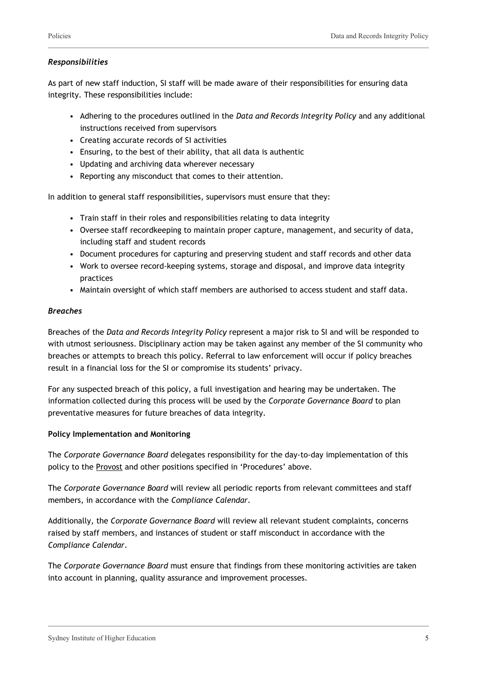#### *Responsibilities*

As part of new staff induction, SI staff will be made aware of their responsibilities for ensuring data integrity. These responsibilities include:

- Adhering to the procedures outlined in the *Data and Records Integrity Policy* and any additional instructions received from supervisors
- Creating accurate records of SI activities
- Ensuring, to the best of their ability, that all data is authentic
- Updating and archiving data wherever necessary
- Reporting any misconduct that comes to their attention.

In addition to general staff responsibilities, supervisors must ensure that they:

- Train staff in their roles and responsibilities relating to data integrity
- Oversee staff recordkeeping to maintain proper capture, management, and security of data, including staff and student records
- Document procedures for capturing and preserving student and staff records and other data
- Work to oversee record-keeping systems, storage and disposal, and improve data integrity practices
- Maintain oversight of which staff members are authorised to access student and staff data.

#### *Breaches*

Breaches of the *Data and Records Integrity Policy* represent a major risk to SI and will be responded to with utmost seriousness. Disciplinary action may be taken against any member of the SI community who breaches or attempts to breach this policy. Referral to law enforcement will occur if policy breaches result in a financial loss for the SI or compromise its students' privacy.

For any suspected breach of this policy, a full investigation and hearing may be undertaken. The information collected during this process will be used by the *Corporate Governance Board* to plan preventative measures for future breaches of data integrity.

#### **Policy Implementation and Monitoring**

The *Corporate Governance Board* delegates responsibility for the day-to-day implementation of this policy to the **Provost** and other positions specified in 'Procedures' above.

The *Corporate Governance Board* will review all periodic reports from relevant committees and staff members, in accordance with the *Compliance Calendar*.

Additionally, the *Corporate Governance Board* will review all relevant student complaints, concerns raised by staff members, and instances of student or staff misconduct in accordance with the *Compliance Calendar*.

The *Corporate Governance Board* must ensure that findings from these monitoring activities are taken into account in planning, quality assurance and improvement processes.